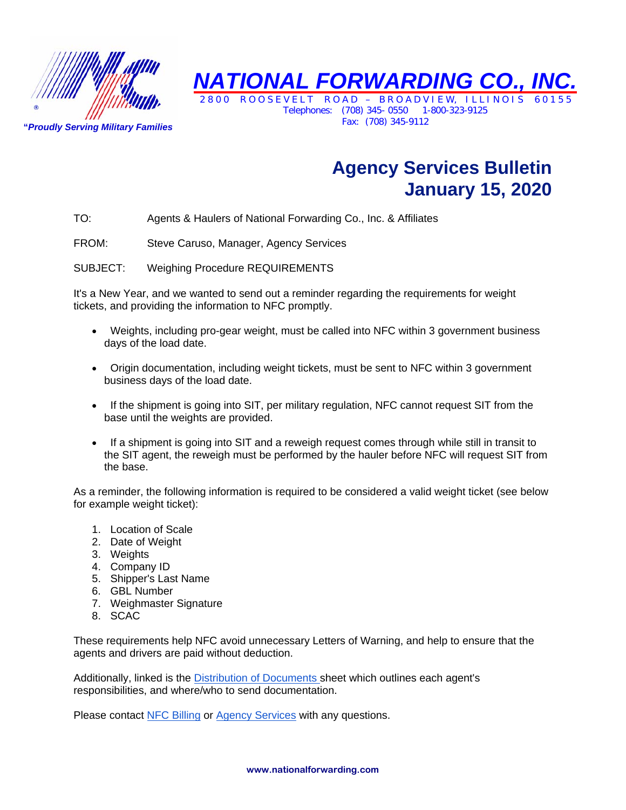

**"***Proudly Serving Military Families* 

*NATIONAL FORWARDING CO., INC.*  ROOSEVELT ROAD – BROADVIEW, ILLINOI

Telephones: (708) 345- 0550 1-800-323-9125 Fax: (708) 345-9112

## **Agency Services Bulletin January 15, 2020**

TO: Agents & Haulers of National Forwarding Co., Inc. & Affiliates

FROM: Steve Caruso, Manager, Agency Services

SUBJECT: Weighing Procedure REQUIREMENTS

It's a New Year, and we wanted to send out a reminder regarding the requirements for weight tickets, and providing the information to NFC promptly.

- Weights, including pro-gear weight, must be called into NFC within 3 government business days of the load date.
- Origin documentation, including weight tickets, must be sent to NFC within 3 government business days of the load date.
- If the shipment is going into SIT, per military regulation, NFC cannot request SIT from the base until the weights are provided.
- If a shipment is going into SIT and a reweigh request comes through while still in transit to the SIT agent, the reweigh must be performed by the hauler before NFC will request SIT from the base.

As a reminder, the following information is required to be considered a valid weight ticket (see below for example weight ticket):

- 1. Location of Scale
- 2. Date of Weight
- 3. Weights
- 4. Company ID
- 5. Shipper's Last Name
- 6. GBL Number
- 7. Weighmaster Signature
- 8. SCAC

These requirements help NFC avoid unnecessary Letters of Warning, and help to ensure that the agents and drivers are paid without deduction.

Additionally, linked is the Distribution of Documents sheet which outlines each agent's responsibilities, and where/who to send documentation.

Please contact NFC Billing or Agency Services with any questions.